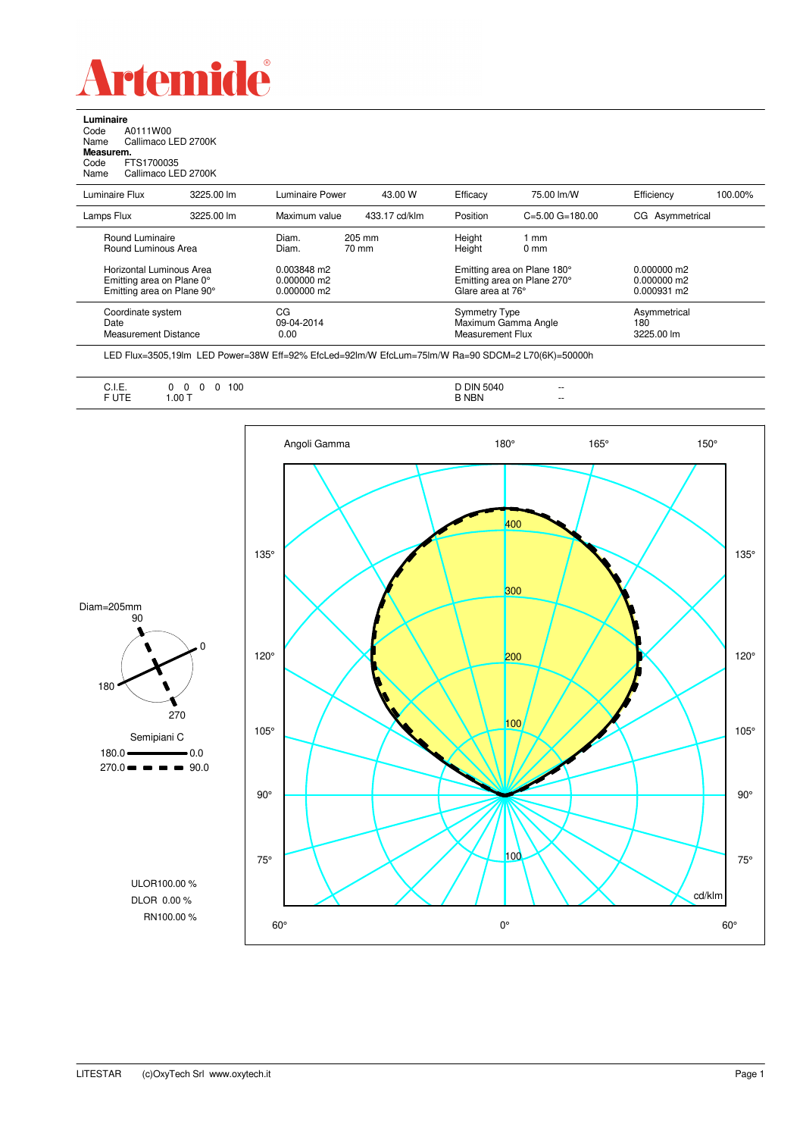

**Luminaire**<br>Code *A*<br>Name C Code A0111W00 Name Callimaco LED 2700K

**Measurem.**

Code FTS1700035<br>Name Callimaco LE Callimaco LED 2700K

| Luminaire Flux                                                                             | 3225.00 lm | Luminaire Power                               | 43.00 W         | Efficacy                                 | 75.00 lm/W                                                 | Efficiency                                    | 100.00% |
|--------------------------------------------------------------------------------------------|------------|-----------------------------------------------|-----------------|------------------------------------------|------------------------------------------------------------|-----------------------------------------------|---------|
| Lamps Flux                                                                                 | 3225.00 lm | Maximum value                                 | 433.17 cd/klm   | Position                                 | $C = 5.00$ $G = 180.00$                                    | CG Asymmetrical                               |         |
| Round Luminaire<br>Round Luminous Area                                                     |            | Diam.<br>Diam.                                | 205 mm<br>70 mm | Height<br>Height                         | 1 mm<br>$0 \text{ mm}$                                     |                                               |         |
| <b>Horizontal Luminous Area</b><br>Emitting area on Plane 0°<br>Emitting area on Plane 90° |            | 0.003848 m2<br>$0.000000$ m2<br>$0.000000$ m2 |                 | Glare area at 76°                        | Emitting area on Plane 180°<br>Emitting area on Plane 270° | $0.000000$ m2<br>$0.000000$ m2<br>0.000931 m2 |         |
| Coordinate system<br>Date<br>Measurement Distance                                          |            | CG<br>09-04-2014<br>0.00                      |                 | <b>Symmetry Type</b><br>Measurement Flux | Maximum Gamma Angle                                        | Asymmetrical<br>180<br>3225.00 lm             |         |

LED Flux=3505,19lm LED Power=38W Eff=92% EfcLed=92lm/W EfcLum=75lm/W Ra=90 SDCM=2 L70(6K)=50000h